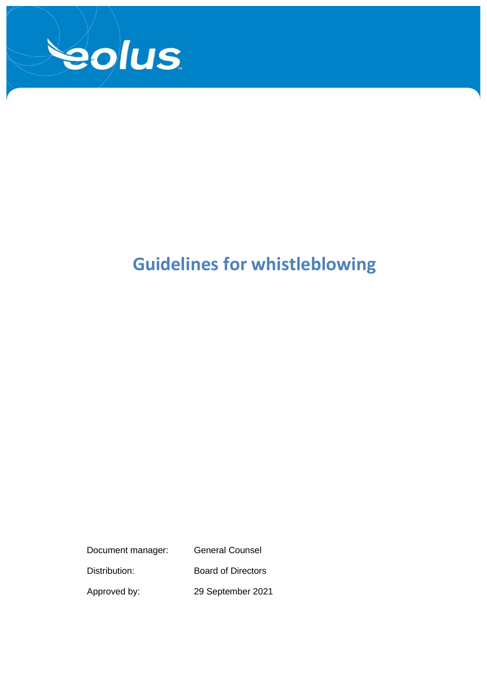

# **Guidelines for whistleblowing**

Document manager: General Counsel Distribution: Board of Directors

Approved by: 29 September 2021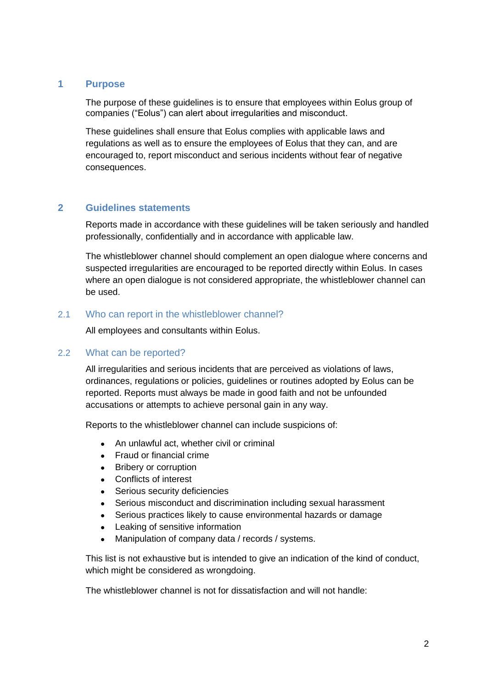#### **1 Purpose**

The purpose of these guidelines is to ensure that employees within Eolus group of companies ("Eolus") can alert about irregularities and misconduct.

These guidelines shall ensure that Eolus complies with applicable laws and regulations as well as to ensure the employees of Eolus that they can, and are encouraged to, report misconduct and serious incidents without fear of negative consequences.

## **2 Guidelines statements**

Reports made in accordance with these guidelines will be taken seriously and handled professionally, confidentially and in accordance with applicable law.

The whistleblower channel should complement an open dialogue where concerns and suspected irregularities are encouraged to be reported directly within Eolus. In cases where an open dialogue is not considered appropriate, the whistleblower channel can be used.

## 2.1 Who can report in the whistleblower channel?

All employees and consultants within Eolus.

#### 2.2 What can be reported?

All irregularities and serious incidents that are perceived as violations of laws, ordinances, regulations or policies, guidelines or routines adopted by Eolus can be reported. Reports must always be made in good faith and not be unfounded accusations or attempts to achieve personal gain in any way.

Reports to the whistleblower channel can include suspicions of:

- An unlawful act, whether civil or criminal
- Fraud or financial crime
- Bribery or corruption
- Conflicts of interest
- Serious security deficiencies
- Serious misconduct and discrimination including sexual harassment
- Serious practices likely to cause environmental hazards or damage
- Leaking of sensitive information
- Manipulation of company data / records / systems.

This list is not exhaustive but is intended to give an indication of the kind of conduct, which might be considered as wrongdoing.

The whistleblower channel is not for dissatisfaction and will not handle: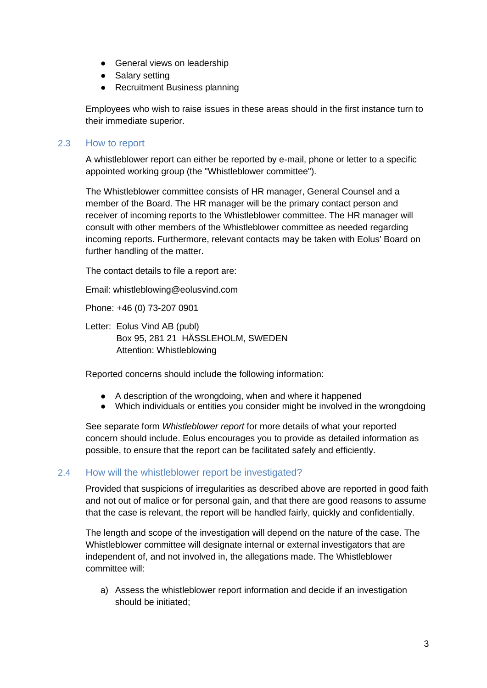- General views on leadership
- Salary setting
- Recruitment Business planning

Employees who wish to raise issues in these areas should in the first instance turn to their immediate superior.

#### 2.3 How to report

A whistleblower report can either be reported by e-mail, phone or letter to a specific appointed working group (the "Whistleblower committee").

The Whistleblower committee consists of HR manager, General Counsel and a member of the Board. The HR manager will be the primary contact person and receiver of incoming reports to the Whistleblower committee. The HR manager will consult with other members of the Whistleblower committee as needed regarding incoming reports. Furthermore, relevant contacts may be taken with Eolus' Board on further handling of the matter.

The contact details to file a report are:

Email: whistleblowing@eolusvind.com

Phone: +46 (0) 73-207 0901

Letter: Eolus Vind AB (publ) Box 95, 281 21 HÄSSLEHOLM, SWEDEN Attention: Whistleblowing

Reported concerns should include the following information:

- A description of the wrongdoing, when and where it happened
- Which individuals or entities you consider might be involved in the wrongdoing

See separate form *Whistleblower report* for more details of what your reported concern should include. Eolus encourages you to provide as detailed information as possible, to ensure that the report can be facilitated safely and efficiently.

#### 2.4 How will the whistleblower report be investigated?

Provided that suspicions of irregularities as described above are reported in good faith and not out of malice or for personal gain, and that there are good reasons to assume that the case is relevant, the report will be handled fairly, quickly and confidentially.

The length and scope of the investigation will depend on the nature of the case. The Whistleblower committee will designate internal or external investigators that are independent of, and not involved in, the allegations made. The Whistleblower committee will:

a) Assess the whistleblower report information and decide if an investigation should be initiated;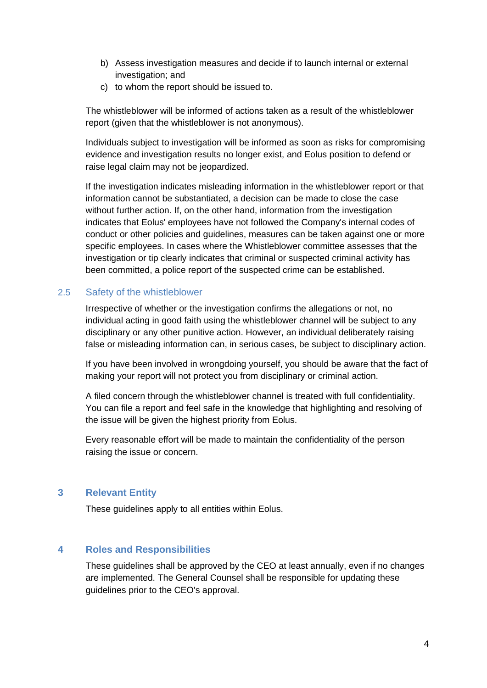- b) Assess investigation measures and decide if to launch internal or external investigation; and
- c) to whom the report should be issued to.

The whistleblower will be informed of actions taken as a result of the whistleblower report (given that the whistleblower is not anonymous).

Individuals subject to investigation will be informed as soon as risks for compromising evidence and investigation results no longer exist, and Eolus position to defend or raise legal claim may not be jeopardized.

If the investigation indicates misleading information in the whistleblower report or that information cannot be substantiated, a decision can be made to close the case without further action. If, on the other hand, information from the investigation indicates that Eolus' employees have not followed the Company's internal codes of conduct or other policies and guidelines, measures can be taken against one or more specific employees. In cases where the Whistleblower committee assesses that the investigation or tip clearly indicates that criminal or suspected criminal activity has been committed, a police report of the suspected crime can be established.

## 2.5 Safety of the whistleblower

Irrespective of whether or the investigation confirms the allegations or not, no individual acting in good faith using the whistleblower channel will be subject to any disciplinary or any other punitive action. However, an individual deliberately raising false or misleading information can, in serious cases, be subject to disciplinary action.

If you have been involved in wrongdoing yourself, you should be aware that the fact of making your report will not protect you from disciplinary or criminal action.

A filed concern through the whistleblower channel is treated with full confidentiality. You can file a report and feel safe in the knowledge that highlighting and resolving of the issue will be given the highest priority from Eolus.

Every reasonable effort will be made to maintain the confidentiality of the person raising the issue or concern.

# **3 Relevant Entity**

These guidelines apply to all entities within Eolus.

## **4 Roles and Responsibilities**

These guidelines shall be approved by the CEO at least annually, even if no changes are implemented. The General Counsel shall be responsible for updating these guidelines prior to the CEO's approval.